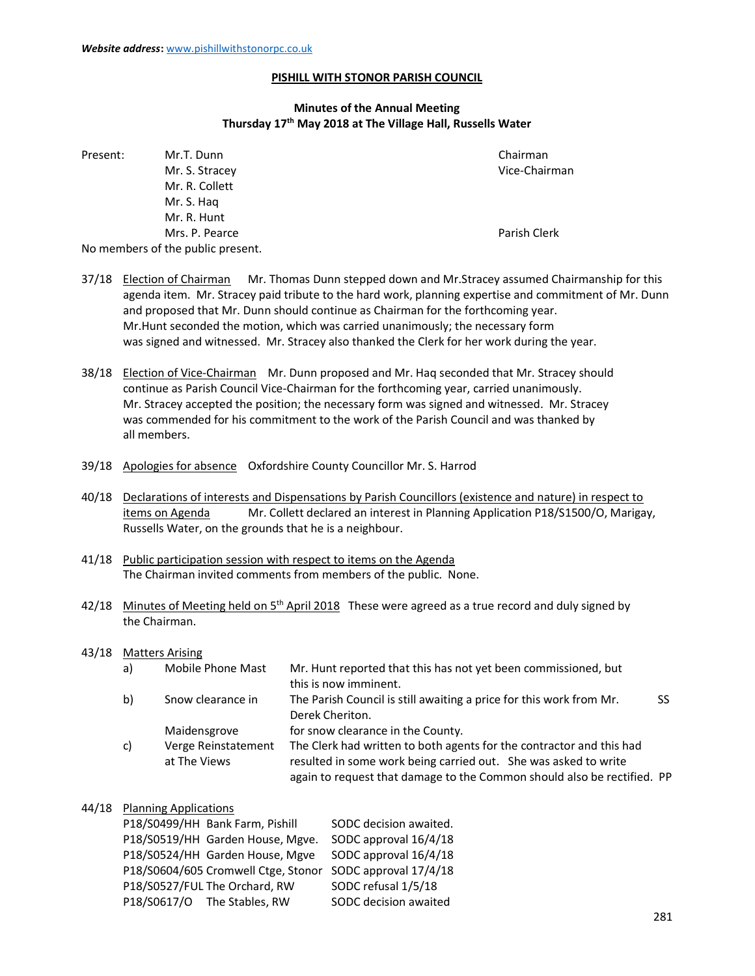### PISHILL WITH STONOR PARISH COUNCIL

# Minutes of the Annual Meeting Thursday 17th May 2018 at The Village Hall, Russells Water

| Present: | Mr.T. Dunn                        | Chairman      |
|----------|-----------------------------------|---------------|
|          | Mr. S. Stracey                    | Vice-Chairman |
|          | Mr. R. Collett                    |               |
|          | Mr. S. Hag                        |               |
|          | Mr. R. Hunt                       |               |
|          | Mrs. P. Pearce                    | Parish Clerk  |
|          | No members of the public present. |               |

- 37/18 Election of Chairman Mr. Thomas Dunn stepped down and Mr.Stracey assumed Chairmanship for this agenda item. Mr. Stracey paid tribute to the hard work, planning expertise and commitment of Mr. Dunn and proposed that Mr. Dunn should continue as Chairman for the forthcoming year. Mr.Hunt seconded the motion, which was carried unanimously; the necessary form was signed and witnessed. Mr. Stracey also thanked the Clerk for her work during the year.
- 38/18 Election of Vice-Chairman Mr. Dunn proposed and Mr. Haq seconded that Mr. Stracey should continue as Parish Council Vice-Chairman for the forthcoming year, carried unanimously. Mr. Stracey accepted the position; the necessary form was signed and witnessed. Mr. Stracey was commended for his commitment to the work of the Parish Council and was thanked by all members.
- 39/18 Apologies for absence Oxfordshire County Councillor Mr. S. Harrod
- 40/18 Declarations of interests and Dispensations by Parish Councillors (existence and nature) in respect to items on Agenda Mr. Collett declared an interest in Planning Application P18/S1500/O, Marigay, Russells Water, on the grounds that he is a neighbour.
- 41/18 Public participation session with respect to items on the Agenda The Chairman invited comments from members of the public. None.
- $42/18$  Minutes of Meeting held on  $5<sup>th</sup>$  April 2018 These were agreed as a true record and duly signed by the Chairman.

#### 43/18 Matters Arising

| a) | Mobile Phone Mast   | Mr. Hunt reported that this has not yet been commissioned, but          |    |
|----|---------------------|-------------------------------------------------------------------------|----|
|    |                     | this is now imminent.                                                   |    |
| b) | Snow clearance in   | The Parish Council is still awaiting a price for this work from Mr.     | SS |
|    |                     | Derek Cheriton.                                                         |    |
|    | Maidensgrove        | for snow clearance in the County.                                       |    |
| C) | Verge Reinstatement | The Clerk had written to both agents for the contractor and this had    |    |
|    | at The Views        | resulted in some work being carried out. She was asked to write         |    |
|    |                     | again to request that damage to the Common should also be rectified. PP |    |
|    |                     |                                                                         |    |

### 44/18 Planning Applications

| P18/S0499/HH Bank Farm, Pishill  | SODC decision awaited.                                    |
|----------------------------------|-----------------------------------------------------------|
| P18/S0519/HH Garden House, Mgve. | SODC approval 16/4/18                                     |
| P18/S0524/HH Garden House, Mgve  | SODC approval 16/4/18                                     |
|                                  | P18/S0604/605 Cromwell Ctge, Stonor SODC approval 17/4/18 |
| P18/S0527/FUL The Orchard, RW    | SODC refusal 1/5/18                                       |
| P18/S0617/O The Stables, RW      | SODC decision awaited                                     |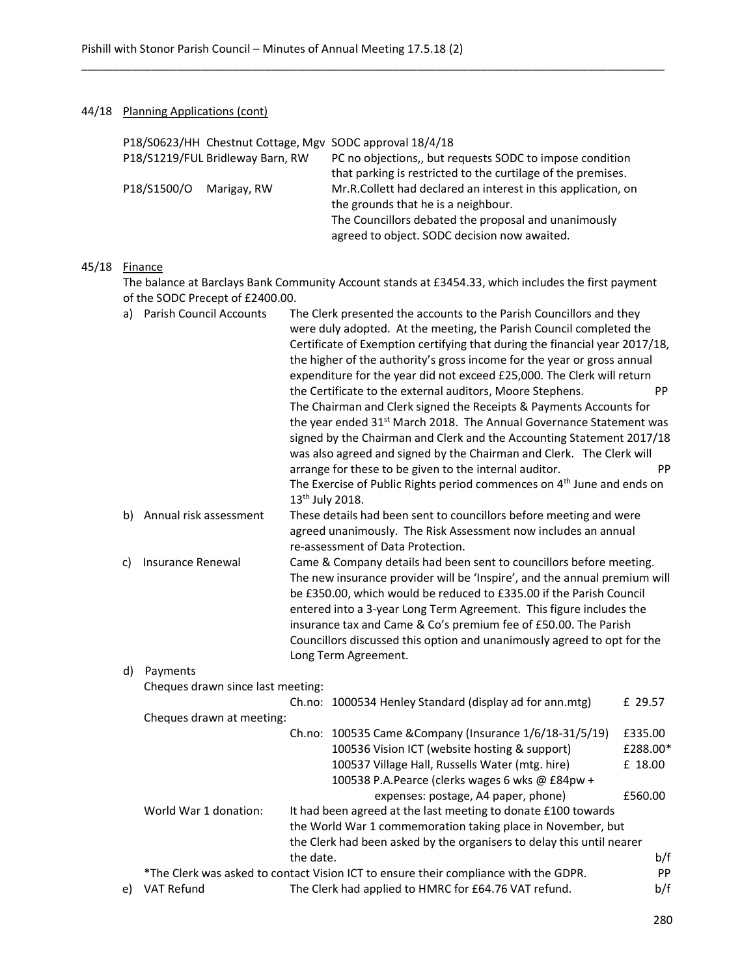\_\_\_\_\_\_\_\_\_\_\_\_\_\_\_\_\_\_\_\_\_\_\_\_\_\_\_\_\_\_\_\_\_\_\_\_\_\_\_\_\_\_\_\_\_\_\_\_\_\_\_\_\_\_\_\_\_\_\_\_\_\_\_\_\_\_\_\_\_\_\_\_\_\_\_\_\_\_\_\_\_\_\_\_\_\_\_\_\_\_\_\_

# 44/18 Planning Applications (cont)

|       |    |                                                                                                                                         |                                   |                             | P18/S0623/HH Chestnut Cottage, Mgv SODC approval 18/4/18                                                                                   |          |  |
|-------|----|-----------------------------------------------------------------------------------------------------------------------------------------|-----------------------------------|-----------------------------|--------------------------------------------------------------------------------------------------------------------------------------------|----------|--|
|       |    |                                                                                                                                         | P18/S1219/FUL Bridleway Barn, RW  |                             | PC no objections,, but requests SODC to impose condition                                                                                   |          |  |
|       |    |                                                                                                                                         |                                   |                             | that parking is restricted to the curtilage of the premises.                                                                               |          |  |
|       |    | P18/S1500/O                                                                                                                             | Marigay, RW                       |                             | Mr.R.Collett had declared an interest in this application, on                                                                              |          |  |
|       |    |                                                                                                                                         |                                   |                             | the grounds that he is a neighbour.                                                                                                        |          |  |
|       |    |                                                                                                                                         |                                   |                             | The Councillors debated the proposal and unanimously                                                                                       |          |  |
|       |    |                                                                                                                                         |                                   |                             | agreed to object. SODC decision now awaited.                                                                                               |          |  |
|       |    |                                                                                                                                         |                                   |                             |                                                                                                                                            |          |  |
| 45/18 |    | <b>Finance</b>                                                                                                                          |                                   |                             |                                                                                                                                            |          |  |
|       |    | The balance at Barclays Bank Community Account stands at £3454.33, which includes the first payment<br>of the SODC Precept of £2400.00. |                                   |                             |                                                                                                                                            |          |  |
|       | a) |                                                                                                                                         | <b>Parish Council Accounts</b>    |                             | The Clerk presented the accounts to the Parish Councillors and they                                                                        |          |  |
|       |    |                                                                                                                                         |                                   |                             | were duly adopted. At the meeting, the Parish Council completed the                                                                        |          |  |
|       |    |                                                                                                                                         |                                   |                             | Certificate of Exemption certifying that during the financial year 2017/18,                                                                |          |  |
|       |    |                                                                                                                                         |                                   |                             | the higher of the authority's gross income for the year or gross annual                                                                    |          |  |
|       |    |                                                                                                                                         |                                   |                             | expenditure for the year did not exceed £25,000. The Clerk will return                                                                     |          |  |
|       |    |                                                                                                                                         |                                   |                             | the Certificate to the external auditors, Moore Stephens.                                                                                  | PP       |  |
|       |    |                                                                                                                                         |                                   |                             | The Chairman and Clerk signed the Receipts & Payments Accounts for                                                                         |          |  |
|       |    |                                                                                                                                         |                                   |                             | the year ended 31 <sup>st</sup> March 2018. The Annual Governance Statement was                                                            |          |  |
|       |    | signed by the Chairman and Clerk and the Accounting Statement 2017/18                                                                   |                                   |                             |                                                                                                                                            |          |  |
|       |    |                                                                                                                                         |                                   |                             | was also agreed and signed by the Chairman and Clerk. The Clerk will                                                                       |          |  |
|       |    |                                                                                                                                         |                                   |                             | arrange for these to be given to the internal auditor.                                                                                     | PP       |  |
|       |    |                                                                                                                                         |                                   |                             | The Exercise of Public Rights period commences on 4 <sup>th</sup> June and ends on                                                         |          |  |
|       |    |                                                                                                                                         |                                   | 13 <sup>th</sup> July 2018. |                                                                                                                                            |          |  |
|       | b) |                                                                                                                                         | Annual risk assessment            |                             | These details had been sent to councillors before meeting and were                                                                         |          |  |
|       |    |                                                                                                                                         |                                   |                             | agreed unanimously. The Risk Assessment now includes an annual                                                                             |          |  |
|       |    |                                                                                                                                         |                                   |                             | re-assessment of Data Protection.                                                                                                          |          |  |
|       | C) | Insurance Renewal                                                                                                                       |                                   |                             | Came & Company details had been sent to councillors before meeting.                                                                        |          |  |
|       |    |                                                                                                                                         |                                   |                             | The new insurance provider will be 'Inspire', and the annual premium will                                                                  |          |  |
|       |    |                                                                                                                                         |                                   |                             | be £350.00, which would be reduced to £335.00 if the Parish Council                                                                        |          |  |
|       |    |                                                                                                                                         |                                   |                             | entered into a 3-year Long Term Agreement. This figure includes the                                                                        |          |  |
|       |    |                                                                                                                                         |                                   |                             | insurance tax and Came & Co's premium fee of £50.00. The Parish<br>Councillors discussed this option and unanimously agreed to opt for the |          |  |
|       |    |                                                                                                                                         |                                   |                             | Long Term Agreement.                                                                                                                       |          |  |
|       | d) | Payments                                                                                                                                |                                   |                             |                                                                                                                                            |          |  |
|       |    |                                                                                                                                         |                                   |                             |                                                                                                                                            |          |  |
|       |    |                                                                                                                                         | Cheques drawn since last meeting: |                             | Ch.no: 1000534 Henley Standard (display ad for ann.mtg)                                                                                    | £ 29.57  |  |
|       |    |                                                                                                                                         | Cheques drawn at meeting:         |                             |                                                                                                                                            |          |  |
|       |    |                                                                                                                                         |                                   |                             | Ch.no: 100535 Came & Company (Insurance 1/6/18-31/5/19)                                                                                    | £335.00  |  |
|       |    |                                                                                                                                         |                                   |                             | 100536 Vision ICT (website hosting & support)                                                                                              | £288.00* |  |
|       |    |                                                                                                                                         |                                   |                             | 100537 Village Hall, Russells Water (mtg. hire)                                                                                            | £ 18.00  |  |
|       |    |                                                                                                                                         |                                   |                             | 100538 P.A.Pearce (clerks wages 6 wks @ £84pw +                                                                                            |          |  |
|       |    |                                                                                                                                         |                                   |                             | expenses: postage, A4 paper, phone)                                                                                                        | £560.00  |  |
|       |    |                                                                                                                                         | World War 1 donation:             |                             | It had been agreed at the last meeting to donate £100 towards                                                                              |          |  |
|       |    |                                                                                                                                         |                                   |                             | the World War 1 commemoration taking place in November, but                                                                                |          |  |
|       |    |                                                                                                                                         |                                   |                             | the Clerk had been asked by the organisers to delay this until nearer                                                                      |          |  |
|       |    |                                                                                                                                         |                                   | the date.                   |                                                                                                                                            | b/f      |  |
|       |    |                                                                                                                                         |                                   |                             | *The Clerk was asked to contact Vision ICT to ensure their compliance with the GDPR.                                                       | PP       |  |
|       | e) | VAT Refund                                                                                                                              |                                   |                             | The Clerk had applied to HMRC for £64.76 VAT refund.                                                                                       | b/f      |  |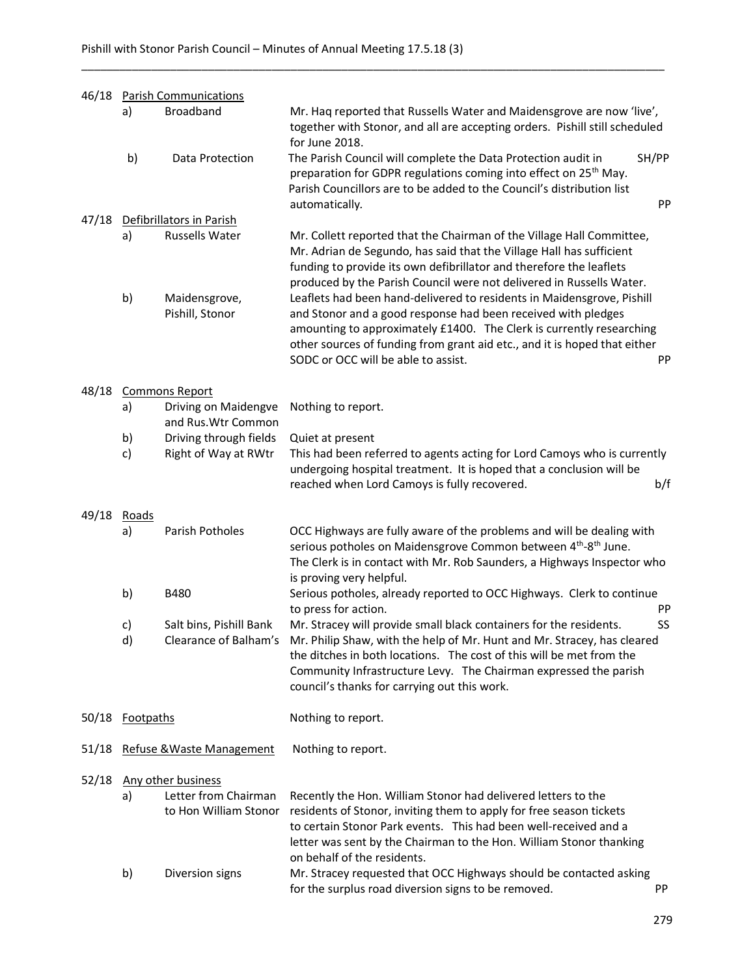|       | 46/18 Parish Communications |                                                                     |                                                                                                                                                                                                                                                                                                                                                                                                                                                                                                                                                                                                                                     |             |
|-------|-----------------------------|---------------------------------------------------------------------|-------------------------------------------------------------------------------------------------------------------------------------------------------------------------------------------------------------------------------------------------------------------------------------------------------------------------------------------------------------------------------------------------------------------------------------------------------------------------------------------------------------------------------------------------------------------------------------------------------------------------------------|-------------|
|       | a)                          | <b>Broadband</b>                                                    | Mr. Haq reported that Russells Water and Maidensgrove are now 'live',<br>together with Stonor, and all are accepting orders. Pishill still scheduled<br>for June 2018.                                                                                                                                                                                                                                                                                                                                                                                                                                                              |             |
|       | b)                          | Data Protection                                                     | The Parish Council will complete the Data Protection audit in<br>preparation for GDPR regulations coming into effect on 25 <sup>th</sup> May.<br>Parish Councillors are to be added to the Council's distribution list<br>automatically.                                                                                                                                                                                                                                                                                                                                                                                            | SH/PP<br>PP |
| 47/18 |                             | Defibrillators in Parish                                            |                                                                                                                                                                                                                                                                                                                                                                                                                                                                                                                                                                                                                                     |             |
|       | a)<br>b)                    | Russells Water<br>Maidensgrove,<br>Pishill, Stonor                  | Mr. Collett reported that the Chairman of the Village Hall Committee,<br>Mr. Adrian de Segundo, has said that the Village Hall has sufficient<br>funding to provide its own defibrillator and therefore the leaflets<br>produced by the Parish Council were not delivered in Russells Water.<br>Leaflets had been hand-delivered to residents in Maidensgrove, Pishill<br>and Stonor and a good response had been received with pledges<br>amounting to approximately £1400. The Clerk is currently researching<br>other sources of funding from grant aid etc., and it is hoped that either<br>SODC or OCC will be able to assist. | PP          |
| 48/18 |                             | <b>Commons Report</b>                                               |                                                                                                                                                                                                                                                                                                                                                                                                                                                                                                                                                                                                                                     |             |
|       | a)                          | Driving on Maidengve                                                | Nothing to report.                                                                                                                                                                                                                                                                                                                                                                                                                                                                                                                                                                                                                  |             |
|       | b)                          | and Rus. Wtr Common<br>Driving through fields                       | Quiet at present                                                                                                                                                                                                                                                                                                                                                                                                                                                                                                                                                                                                                    |             |
|       | c)                          | Right of Way at RWtr                                                | This had been referred to agents acting for Lord Camoys who is currently                                                                                                                                                                                                                                                                                                                                                                                                                                                                                                                                                            |             |
|       |                             |                                                                     | undergoing hospital treatment. It is hoped that a conclusion will be<br>reached when Lord Camoys is fully recovered.                                                                                                                                                                                                                                                                                                                                                                                                                                                                                                                | b/f         |
| 49/18 | <b>Roads</b><br>a)          | Parish Potholes                                                     | OCC Highways are fully aware of the problems and will be dealing with<br>serious potholes on Maidensgrove Common between 4 <sup>th</sup> -8 <sup>th</sup> June.<br>The Clerk is in contact with Mr. Rob Saunders, a Highways Inspector who<br>is proving very helpful.                                                                                                                                                                                                                                                                                                                                                              |             |
|       | b)                          | B480                                                                | Serious potholes, already reported to OCC Highways. Clerk to continue                                                                                                                                                                                                                                                                                                                                                                                                                                                                                                                                                               |             |
|       | c)<br>d)                    | Salt bins, Pishill Bank<br>Clearance of Balham's                    | to press for action.<br>Mr. Stracey will provide small black containers for the residents.<br>Mr. Philip Shaw, with the help of Mr. Hunt and Mr. Stracey, has cleared<br>the ditches in both locations. The cost of this will be met from the<br>Community Infrastructure Levy. The Chairman expressed the parish<br>council's thanks for carrying out this work.                                                                                                                                                                                                                                                                   | PP<br>SS    |
|       | 50/18 Footpaths             |                                                                     | Nothing to report.                                                                                                                                                                                                                                                                                                                                                                                                                                                                                                                                                                                                                  |             |
| 51/18 | Refuse & Waste Management   |                                                                     | Nothing to report.                                                                                                                                                                                                                                                                                                                                                                                                                                                                                                                                                                                                                  |             |
| 52/18 | a)                          | Any other business<br>Letter from Chairman<br>to Hon William Stonor | Recently the Hon. William Stonor had delivered letters to the<br>residents of Stonor, inviting them to apply for free season tickets<br>to certain Stonor Park events. This had been well-received and a<br>letter was sent by the Chairman to the Hon. William Stonor thanking<br>on behalf of the residents.                                                                                                                                                                                                                                                                                                                      |             |
|       | b)                          | Diversion signs                                                     | Mr. Stracey requested that OCC Highways should be contacted asking<br>for the surplus road diversion signs to be removed.                                                                                                                                                                                                                                                                                                                                                                                                                                                                                                           | PP          |

\_\_\_\_\_\_\_\_\_\_\_\_\_\_\_\_\_\_\_\_\_\_\_\_\_\_\_\_\_\_\_\_\_\_\_\_\_\_\_\_\_\_\_\_\_\_\_\_\_\_\_\_\_\_\_\_\_\_\_\_\_\_\_\_\_\_\_\_\_\_\_\_\_\_\_\_\_\_\_\_\_\_\_\_\_\_\_\_\_\_\_\_